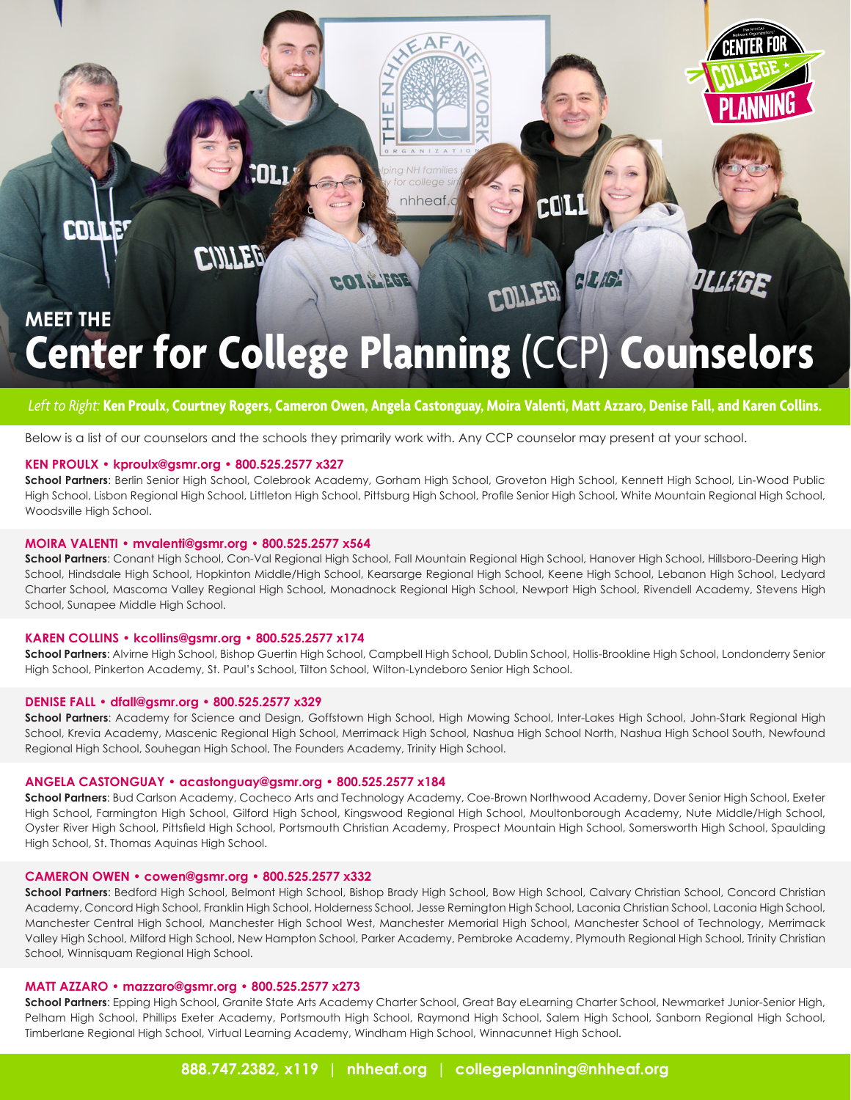

# **Center for College Planning** (CCP) **Counselors**

### *Left to Right:* **Ken Proulx, Courtney Rogers, Cameron Owen, Angela Castonguay, Moira Valenti, Matt Azzaro, Denise Fall, and Karen Collins.**

Below is a list of our counselors and the schools they primarily work with. Any CCP counselor may present at your school.

#### **KEN PROULX • kproulx@gsmr.org • 800.525.2577 x327**

**School Partners**: Berlin Senior High School, Colebrook Academy, Gorham High School, Groveton High School, Kennett High School, Lin-Wood Public High School, Lisbon Regional High School, Littleton High School, Pittsburg High School, Profile Senior High School, White Mountain Regional High School, Woodsville High School.

#### **MOIRA VALENTI • mvalenti@gsmr.org • 800.525.2577 x564**

**School Partners**: Conant High School, Con-Val Regional High School, Fall Mountain Regional High School, Hanover High School, Hillsboro-Deering High School, Hindsdale High School, Hopkinton Middle/High School, Kearsarge Regional High School, Keene High School, Lebanon High School, Ledyard Charter School, Mascoma Valley Regional High School, Monadnock Regional High School, Newport High School, Rivendell Academy, Stevens High School, Sunapee Middle High School.

#### **KAREN COLLINS • kcollins@gsmr.org • 800.525.2577 x174**

**School Partners**: Alvirne High School, Bishop Guertin High School, Campbell High School, Dublin School, Hollis-Brookline High School, Londonderry Senior High School, Pinkerton Academy, St. Paul's School, Tilton School, Wilton-Lyndeboro Senior High School.

#### **DENISE FALL • dfall@gsmr.org • 800.525.2577 x329**

**School Partners**: Academy for Science and Design, Goffstown High School, High Mowing School, Inter-Lakes High School, John-Stark Regional High School, Krevia Academy, Mascenic Regional High School, Merrimack High School, Nashua High School North, Nashua High School South, Newfound Regional High School, Souhegan High School, The Founders Academy, Trinity High School.

#### **ANGELA CASTONGUAY • acastonguay@gsmr.org • 800.525.2577 x184**

**School Partners**: Bud Carlson Academy, Cocheco Arts and Technology Academy, Coe-Brown Northwood Academy, Dover Senior High School, Exeter High School, Farmington High School, Gilford High School, Kingswood Regional High School, Moultonborough Academy, Nute Middle/High School, Oyster River High School, Pittsfield High School, Portsmouth Christian Academy, Prospect Mountain High School, Somersworth High School, Spaulding High School, St. Thomas Aquinas High School.

#### **CAMERON OWEN • cowen@gsmr.org • 800.525.2577 x332**

**School Partners**: Bedford High School, Belmont High School, Bishop Brady High School, Bow High School, Calvary Christian School, Concord Christian Academy, Concord High School, Franklin High School, Holderness School, Jesse Remington High School, Laconia Christian School, Laconia High School, Manchester Central High School, Manchester High School West, Manchester Memorial High School, Manchester School of Technology, Merrimack Valley High School, Milford High School, New Hampton School, Parker Academy, Pembroke Academy, Plymouth Regional High School, Trinity Christian School, Winnisquam Regional High School.

#### **MATT AZZARO • mazzaro@gsmr.org • 800.525.2577 x273**

**School Partners**: Epping High School, Granite State Arts Academy Charter School, Great Bay eLearning Charter School, Newmarket Junior-Senior High, Pelham High School, Phillips Exeter Academy, Portsmouth High School, Raymond High School, Salem High School, Sanborn Regional High School, Timberlane Regional High School, Virtual Learning Academy, Windham High School, Winnacunnet High School.